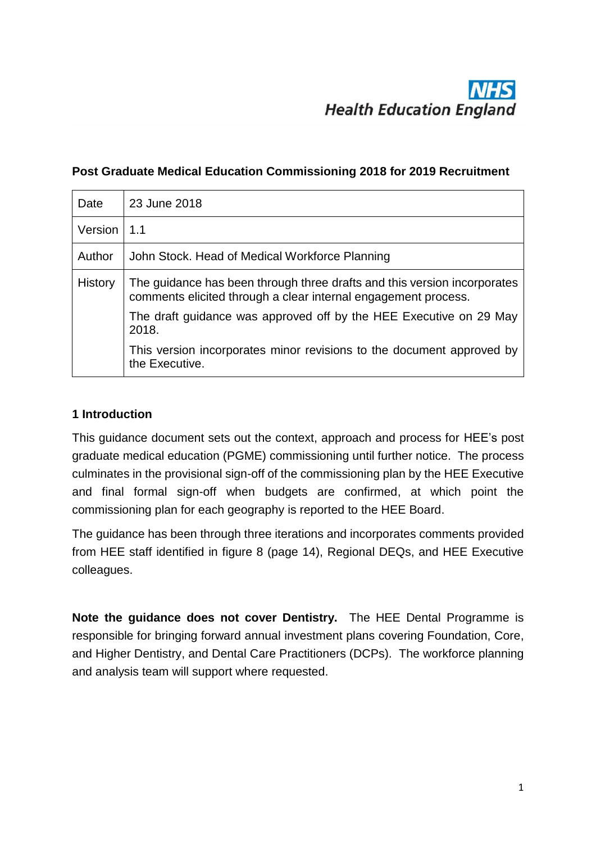#### **Post Graduate Medical Education Commissioning 2018 for 2019 Recruitment**

| Date           | 23 June 2018                                                                                                                               |
|----------------|--------------------------------------------------------------------------------------------------------------------------------------------|
| Version   1.1  |                                                                                                                                            |
| Author         | John Stock. Head of Medical Workforce Planning                                                                                             |
| <b>History</b> | The guidance has been through three drafts and this version incorporates<br>comments elicited through a clear internal engagement process. |
|                | The draft guidance was approved off by the HEE Executive on 29 May<br>2018.                                                                |
|                | This version incorporates minor revisions to the document approved by<br>the Executive.                                                    |

#### **1 Introduction**

This guidance document sets out the context, approach and process for HEE's post graduate medical education (PGME) commissioning until further notice. The process culminates in the provisional sign-off of the commissioning plan by the HEE Executive and final formal sign-off when budgets are confirmed, at which point the commissioning plan for each geography is reported to the HEE Board.

The guidance has been through three iterations and incorporates comments provided from HEE staff identified in figure 8 (page 14), Regional DEQs, and HEE Executive colleagues.

**Note the guidance does not cover Dentistry.** The HEE Dental Programme is responsible for bringing forward annual investment plans covering Foundation, Core, and Higher Dentistry, and Dental Care Practitioners (DCPs). The workforce planning and analysis team will support where requested.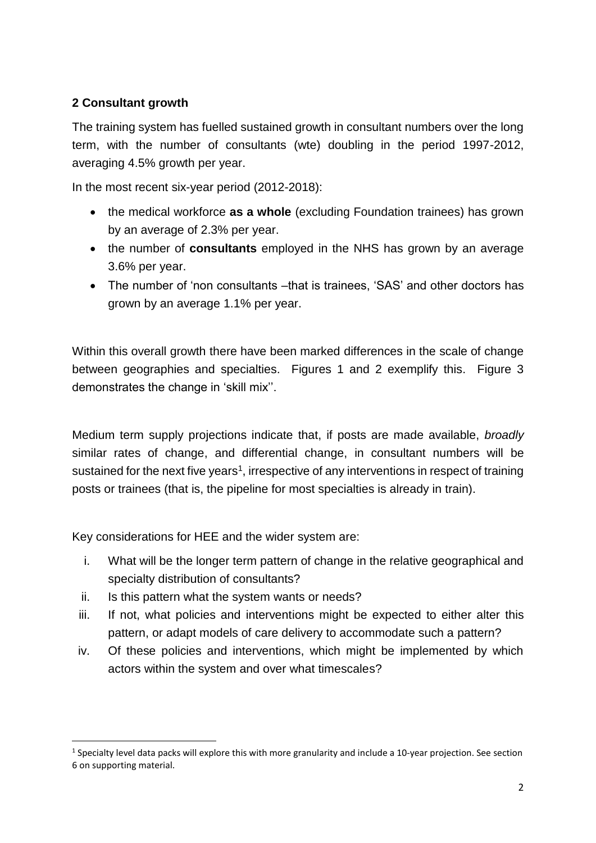#### **2 Consultant growth**

The training system has fuelled sustained growth in consultant numbers over the long term, with the number of consultants (wte) doubling in the period 1997-2012, averaging 4.5% growth per year.

In the most recent six-year period (2012-2018):

- the medical workforce **as a whole** (excluding Foundation trainees) has grown by an average of 2.3% per year.
- the number of **consultants** employed in the NHS has grown by an average 3.6% per year.
- The number of 'non consultants –that is trainees, 'SAS' and other doctors has grown by an average 1.1% per year.

Within this overall growth there have been marked differences in the scale of change between geographies and specialties. Figures 1 and 2 exemplify this. Figure 3 demonstrates the change in 'skill mix''.

Medium term supply projections indicate that, if posts are made available, *broadly* similar rates of change, and differential change, in consultant numbers will be sustained for the next five years<sup>1</sup>, irrespective of any interventions in respect of training posts or trainees (that is, the pipeline for most specialties is already in train).

Key considerations for HEE and the wider system are:

- i. What will be the longer term pattern of change in the relative geographical and specialty distribution of consultants?
- ii. Is this pattern what the system wants or needs?

1

- iii. If not, what policies and interventions might be expected to either alter this pattern, or adapt models of care delivery to accommodate such a pattern?
- iv. Of these policies and interventions, which might be implemented by which actors within the system and over what timescales?

<sup>&</sup>lt;sup>1</sup> Specialty level data packs will explore this with more granularity and include a 10-year projection. See section 6 on supporting material.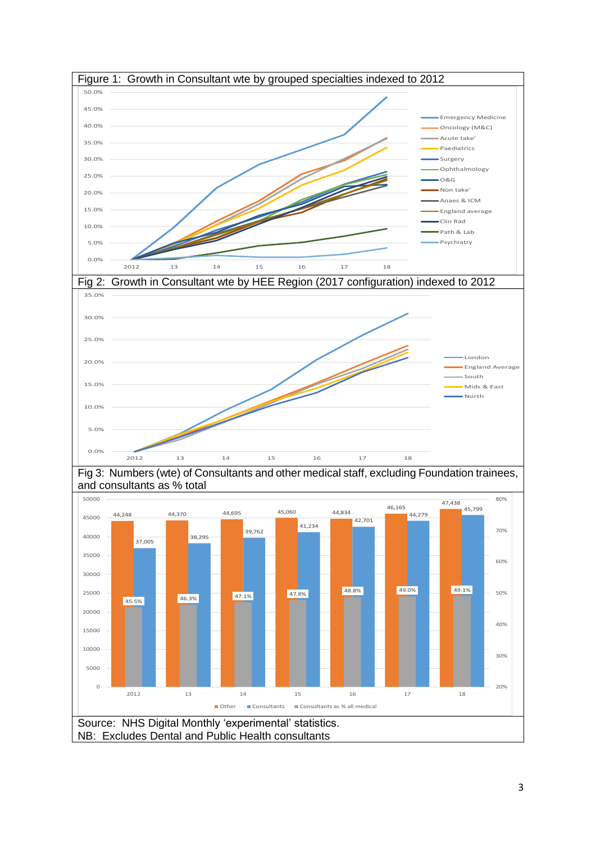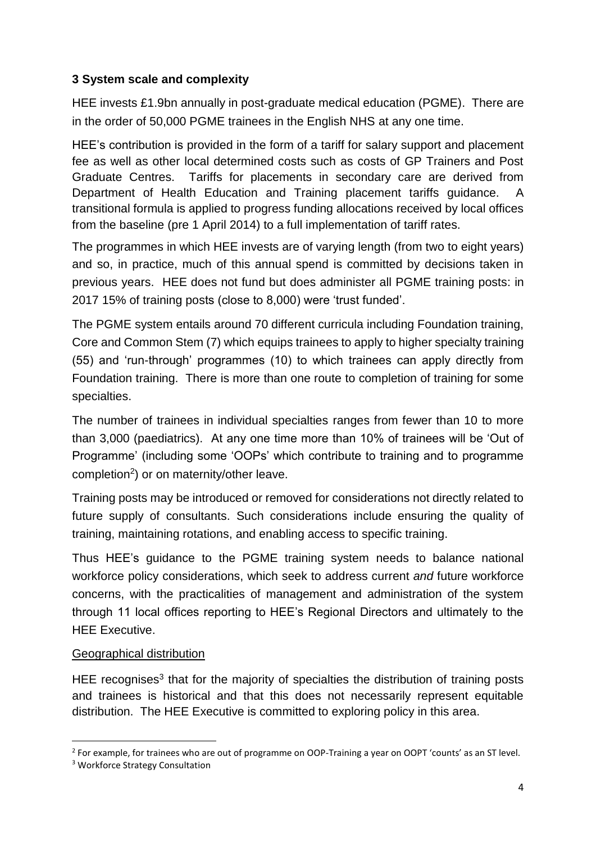#### **3 System scale and complexity**

HEE invests £1.9bn annually in post-graduate medical education (PGME). There are in the order of 50,000 PGME trainees in the English NHS at any one time.

HEE's contribution is provided in the form of a tariff for salary support and placement fee as well as other local determined costs such as costs of GP Trainers and Post Graduate Centres. Tariffs for placements in secondary care are derived from Department of Health Education and Training placement tariffs guidance. A transitional formula is applied to progress funding allocations received by local offices from the baseline (pre 1 April 2014) to a full implementation of tariff rates.

The programmes in which HEE invests are of varying length (from two to eight years) and so, in practice, much of this annual spend is committed by decisions taken in previous years. HEE does not fund but does administer all PGME training posts: in 2017 15% of training posts (close to 8,000) were 'trust funded'.

The PGME system entails around 70 different curricula including Foundation training, Core and Common Stem (7) which equips trainees to apply to higher specialty training (55) and 'run-through' programmes (10) to which trainees can apply directly from Foundation training. There is more than one route to completion of training for some specialties.

The number of trainees in individual specialties ranges from fewer than 10 to more than 3,000 (paediatrics). At any one time more than 10% of trainees will be 'Out of Programme' (including some 'OOPs' which contribute to training and to programme completion<sup>2</sup>) or on maternity/other leave.

Training posts may be introduced or removed for considerations not directly related to future supply of consultants. Such considerations include ensuring the quality of training, maintaining rotations, and enabling access to specific training.

Thus HEE's guidance to the PGME training system needs to balance national workforce policy considerations, which seek to address current *and* future workforce concerns, with the practicalities of management and administration of the system through 11 local offices reporting to HEE's Regional Directors and ultimately to the HEE Executive.

#### Geographical distribution

HEE recognises<sup>3</sup> that for the majority of specialties the distribution of training posts and trainees is historical and that this does not necessarily represent equitable distribution. The HEE Executive is committed to exploring policy in this area.

1

<sup>&</sup>lt;sup>2</sup> For example, for trainees who are out of programme on OOP-Training a year on OOPT 'counts' as an ST level.

<sup>3</sup> Workforce Strategy Consultation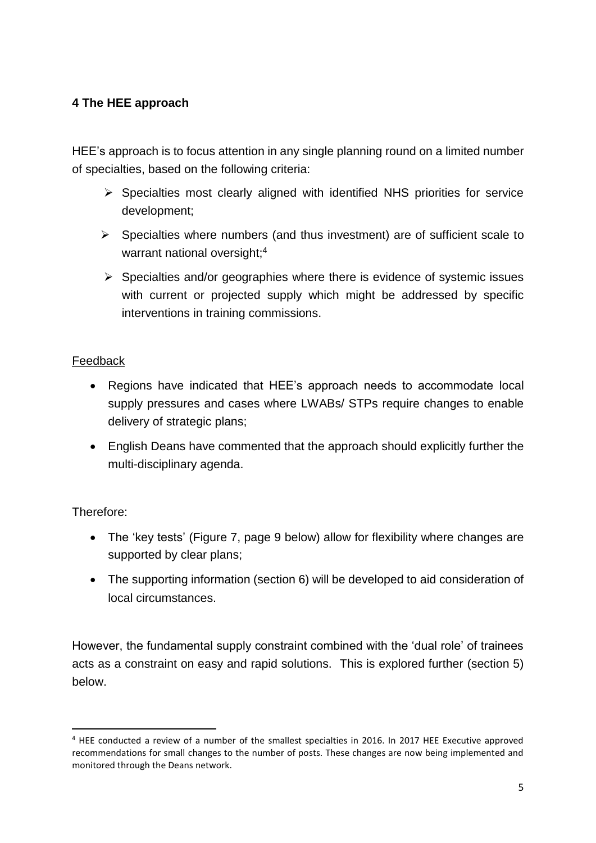### **4 The HEE approach**

HEE's approach is to focus attention in any single planning round on a limited number of specialties, based on the following criteria:

- ➢ Specialties most clearly aligned with identified NHS priorities for service development;
- $\triangleright$  Specialties where numbers (and thus investment) are of sufficient scale to warrant national oversight;<sup>4</sup>
- ➢ Specialties and/or geographies where there is evidence of systemic issues with current or projected supply which might be addressed by specific interventions in training commissions.

#### Feedback

- Regions have indicated that HEE's approach needs to accommodate local supply pressures and cases where LWABs/ STPs require changes to enable delivery of strategic plans;
- English Deans have commented that the approach should explicitly further the multi-disciplinary agenda.

#### Therefore:

**.** 

- The 'key tests' (Figure 7, page 9 below) allow for flexibility where changes are supported by clear plans;
- The supporting information (section 6) will be developed to aid consideration of local circumstances.

However, the fundamental supply constraint combined with the 'dual role' of trainees acts as a constraint on easy and rapid solutions. This is explored further (section 5) below.

<sup>4</sup> HEE conducted a review of a number of the smallest specialties in 2016. In 2017 HEE Executive approved recommendations for small changes to the number of posts. These changes are now being implemented and monitored through the Deans network.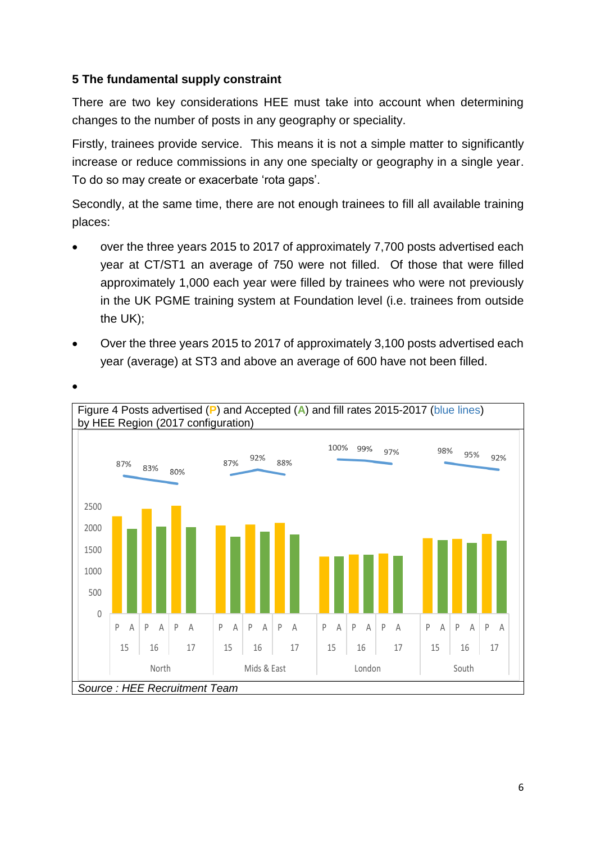#### **5 The fundamental supply constraint**

There are two key considerations HEE must take into account when determining changes to the number of posts in any geography or speciality.

Firstly, trainees provide service. This means it is not a simple matter to significantly increase or reduce commissions in any one specialty or geography in a single year. To do so may create or exacerbate 'rota gaps'.

Secondly, at the same time, there are not enough trainees to fill all available training places:

- over the three years 2015 to 2017 of approximately 7,700 posts advertised each year at CT/ST1 an average of 750 were not filled. Of those that were filled approximately 1,000 each year were filled by trainees who were not previously in the UK PGME training system at Foundation level (i.e. trainees from outside the UK);
- Over the three years 2015 to 2017 of approximately 3,100 posts advertised each year (average) at ST3 and above an average of 600 have not been filled.

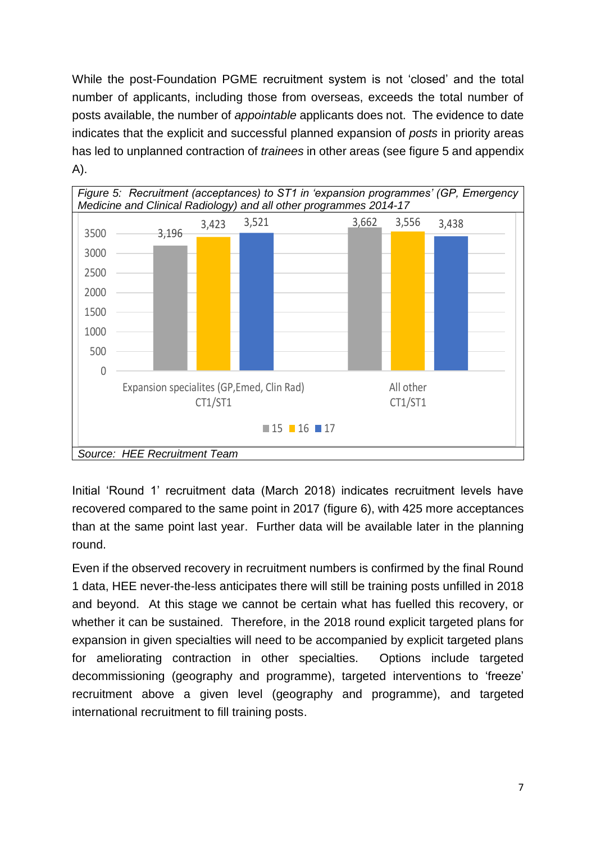While the post-Foundation PGME recruitment system is not 'closed' and the total number of applicants, including those from overseas, exceeds the total number of posts available, the number of *appointable* applicants does not. The evidence to date indicates that the explicit and successful planned expansion of *posts* in priority areas has led to unplanned contraction of *trainees* in other areas (see figure 5 and appendix A).

![](_page_6_Figure_1.jpeg)

Initial 'Round 1' recruitment data (March 2018) indicates recruitment levels have recovered compared to the same point in 2017 (figure 6), with 425 more acceptances than at the same point last year. Further data will be available later in the planning round.

Even if the observed recovery in recruitment numbers is confirmed by the final Round 1 data, HEE never-the-less anticipates there will still be training posts unfilled in 2018 and beyond. At this stage we cannot be certain what has fuelled this recovery, or whether it can be sustained. Therefore, in the 2018 round explicit targeted plans for expansion in given specialties will need to be accompanied by explicit targeted plans for ameliorating contraction in other specialties. Options include targeted decommissioning (geography and programme), targeted interventions to 'freeze' recruitment above a given level (geography and programme), and targeted international recruitment to fill training posts.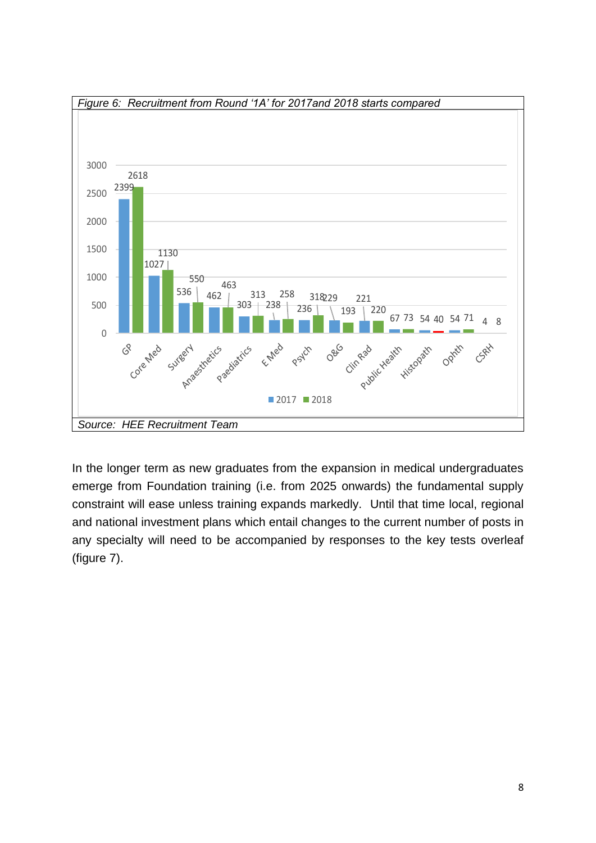![](_page_7_Figure_0.jpeg)

In the longer term as new graduates from the expansion in medical undergraduates emerge from Foundation training (i.e. from 2025 onwards) the fundamental supply constraint will ease unless training expands markedly. Until that time local, regional and national investment plans which entail changes to the current number of posts in any specialty will need to be accompanied by responses to the key tests overleaf (figure 7).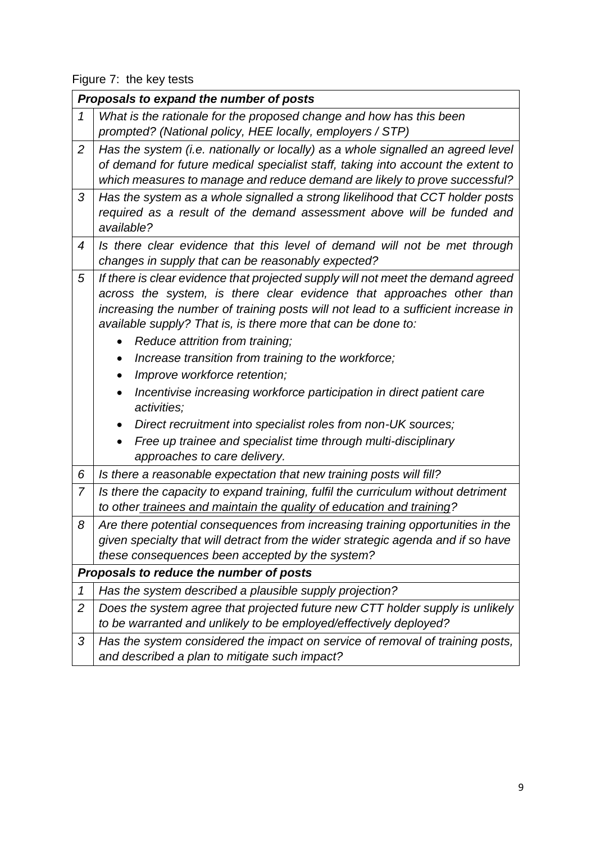Figure 7: the key tests

|                | Proposals to expand the number of posts                                            |
|----------------|------------------------------------------------------------------------------------|
|                |                                                                                    |
| $\mathcal{I}$  | What is the rationale for the proposed change and how has this been                |
|                | prompted? (National policy, HEE locally, employers / STP)                          |
| 2              | Has the system (i.e. nationally or locally) as a whole signalled an agreed level   |
|                | of demand for future medical specialist staff, taking into account the extent to   |
|                | which measures to manage and reduce demand are likely to prove successful?         |
| 3              | Has the system as a whole signalled a strong likelihood that CCT holder posts      |
|                | required as a result of the demand assessment above will be funded and             |
|                | available?                                                                         |
| 4              | Is there clear evidence that this level of demand will not be met through          |
|                | changes in supply that can be reasonably expected?                                 |
| 5              | If there is clear evidence that projected supply will not meet the demand agreed   |
|                | across the system, is there clear evidence that approaches other than              |
|                | increasing the number of training posts will not lead to a sufficient increase in  |
|                | available supply? That is, is there more that can be done to:                      |
|                | Reduce attrition from training;<br>$\bullet$                                       |
|                | Increase transition from training to the workforce;<br>$\bullet$                   |
|                | Improve workforce retention;<br>$\bullet$                                          |
|                | Incentivise increasing workforce participation in direct patient care<br>$\bullet$ |
|                | activities;                                                                        |
|                | Direct recruitment into specialist roles from non-UK sources;<br>$\bullet$         |
|                | Free up trainee and specialist time through multi-disciplinary<br>$\bullet$        |
|                | approaches to care delivery.                                                       |
| 6              | Is there a reasonable expectation that new training posts will fill?               |
| $\overline{7}$ | Is there the capacity to expand training, fulfil the curriculum without detriment  |
|                | to other trainees and maintain the quality of education and training?              |
| 8              | Are there potential consequences from increasing training opportunities in the     |
|                | given specialty that will detract from the wider strategic agenda and if so have   |
|                | these consequences been accepted by the system?                                    |
|                | Proposals to reduce the number of posts                                            |
| 1              | Has the system described a plausible supply projection?                            |
| $\overline{c}$ | Does the system agree that projected future new CTT holder supply is unlikely      |
|                | to be warranted and unlikely to be employed/effectively deployed?                  |
| 3              | Has the system considered the impact on service of removal of training posts,      |
|                | and described a plan to mitigate such impact?                                      |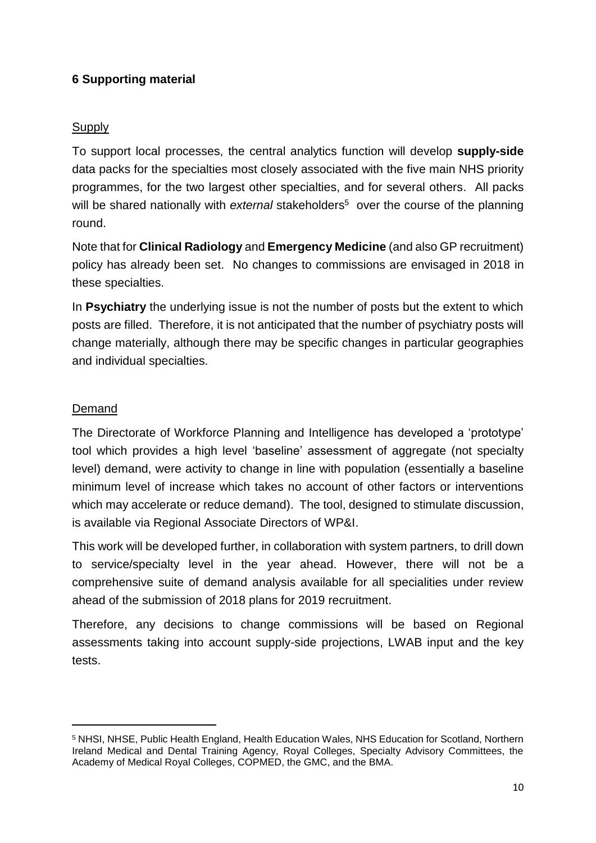#### **6 Supporting material**

#### **Supply**

To support local processes, the central analytics function will develop **supply-side** data packs for the specialties most closely associated with the five main NHS priority programmes, for the two largest other specialties, and for several others. All packs will be shared nationally with external stakeholders<sup>5</sup> over the course of the planning round.

Note that for **Clinical Radiology** and **Emergency Medicine** (and also GP recruitment) policy has already been set. No changes to commissions are envisaged in 2018 in these specialties.

In **Psychiatry** the underlying issue is not the number of posts but the extent to which posts are filled. Therefore, it is not anticipated that the number of psychiatry posts will change materially, although there may be specific changes in particular geographies and individual specialties.

#### Demand

 $\overline{a}$ 

The Directorate of Workforce Planning and Intelligence has developed a 'prototype' tool which provides a high level 'baseline' assessment of aggregate (not specialty level) demand, were activity to change in line with population (essentially a baseline minimum level of increase which takes no account of other factors or interventions which may accelerate or reduce demand). The tool, designed to stimulate discussion, is available via Regional Associate Directors of WP&I.

This work will be developed further, in collaboration with system partners, to drill down to service/specialty level in the year ahead. However, there will not be a comprehensive suite of demand analysis available for all specialities under review ahead of the submission of 2018 plans for 2019 recruitment.

Therefore, any decisions to change commissions will be based on Regional assessments taking into account supply-side projections, LWAB input and the key tests.

<sup>5</sup> NHSI, NHSE, Public Health England, Health Education Wales, NHS Education for Scotland, Northern Ireland Medical and Dental Training Agency, Royal Colleges, Specialty Advisory Committees, the Academy of Medical Royal Colleges, COPMED, the GMC, and the BMA.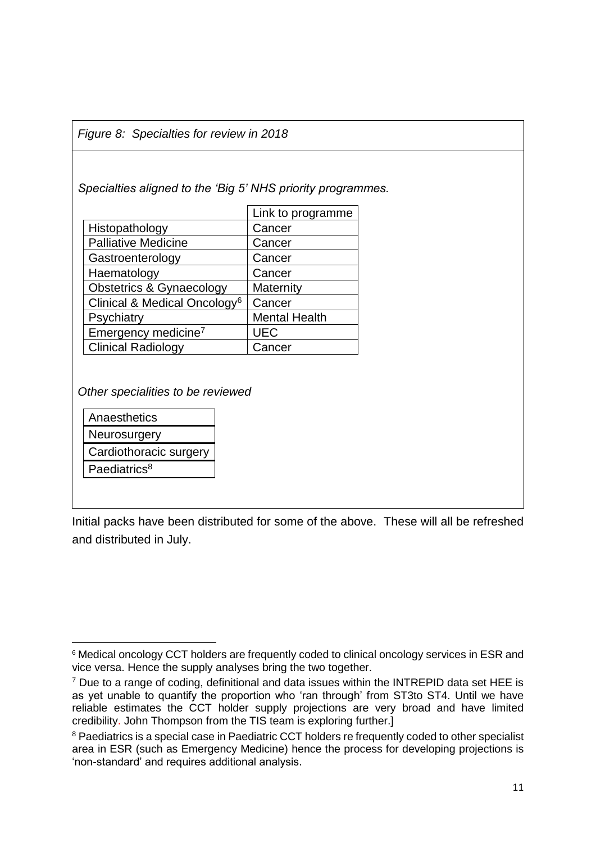*Figure 8: Specialties for review in 2018*

*Specialties aligned to the 'Big 5' NHS priority programmes.* 

|                                          | Link to programme    |
|------------------------------------------|----------------------|
| Histopathology                           | Cancer               |
| <b>Palliative Medicine</b>               | Cancer               |
| Gastroenterology                         | Cancer               |
| Haematology                              | Cancer               |
| <b>Obstetrics &amp; Gynaecology</b>      | Maternity            |
| Clinical & Medical Oncology <sup>6</sup> | Cancer               |
| Psychiatry                               | <b>Mental Health</b> |
| Emergency medicine <sup>7</sup>          | <b>UEC</b>           |
| <b>Clinical Radiology</b>                | Cancer               |

*Other specialities to be reviewed*

| Anaesthetics             |
|--------------------------|
| Neurosurgery             |
| Cardiothoracic surgery   |
| Paediatrics <sup>8</sup> |

**.** 

Initial packs have been distributed for some of the above. These will all be refreshed and distributed in July.

<sup>&</sup>lt;sup>6</sup> Medical oncology CCT holders are frequently coded to clinical oncology services in ESR and vice versa. Hence the supply analyses bring the two together.

 $7$  Due to a range of coding, definitional and data issues within the INTREPID data set HEE is as yet unable to quantify the proportion who 'ran through' from ST3to ST4. Until we have reliable estimates the CCT holder supply projections are very broad and have limited credibility. John Thompson from the TIS team is exploring further.]

<sup>&</sup>lt;sup>8</sup> Paediatrics is a special case in Paediatric CCT holders re frequently coded to other specialist area in ESR (such as Emergency Medicine) hence the process for developing projections is 'non-standard' and requires additional analysis.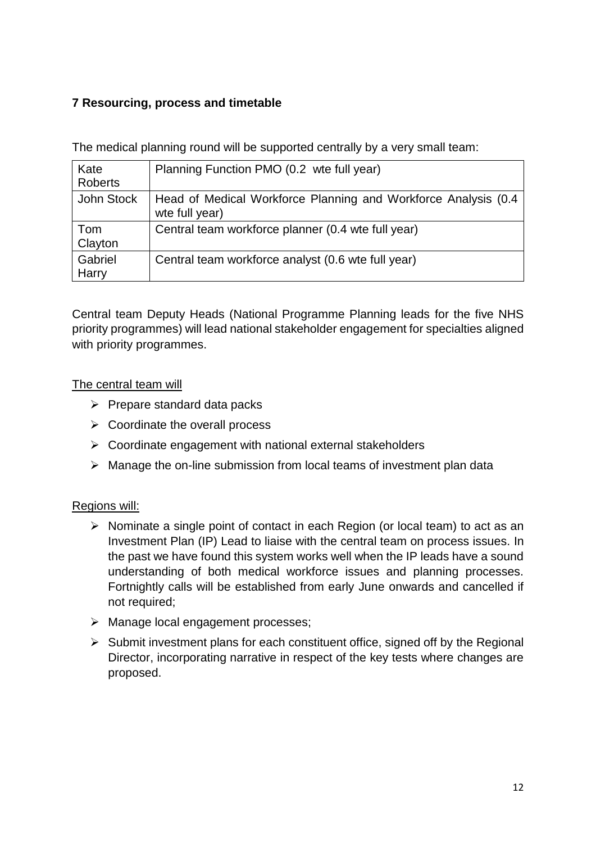#### **7 Resourcing, process and timetable**

The medical planning round will be supported centrally by a very small team:

| Kate<br><b>Roberts</b> | Planning Function PMO (0.2 wte full year)                                         |
|------------------------|-----------------------------------------------------------------------------------|
| John Stock             | Head of Medical Workforce Planning and Workforce Analysis (0.4)<br>wte full year) |
| Tom<br>Clayton         | Central team workforce planner (0.4 wte full year)                                |
| Gabriel<br>Harry       | Central team workforce analyst (0.6 wte full year)                                |

Central team Deputy Heads (National Programme Planning leads for the five NHS priority programmes) will lead national stakeholder engagement for specialties aligned with priority programmes.

#### The central team will

- $\triangleright$  Prepare standard data packs
- ➢ Coordinate the overall process
- $\triangleright$  Coordinate engagement with national external stakeholders
- ➢ Manage the on-line submission from local teams of investment plan data

#### Regions will:

- ➢ Nominate a single point of contact in each Region (or local team) to act as an Investment Plan (IP) Lead to liaise with the central team on process issues. In the past we have found this system works well when the IP leads have a sound understanding of both medical workforce issues and planning processes. Fortnightly calls will be established from early June onwards and cancelled if not required;
- ➢ Manage local engagement processes;
- $\triangleright$  Submit investment plans for each constituent office, signed off by the Regional Director, incorporating narrative in respect of the key tests where changes are proposed.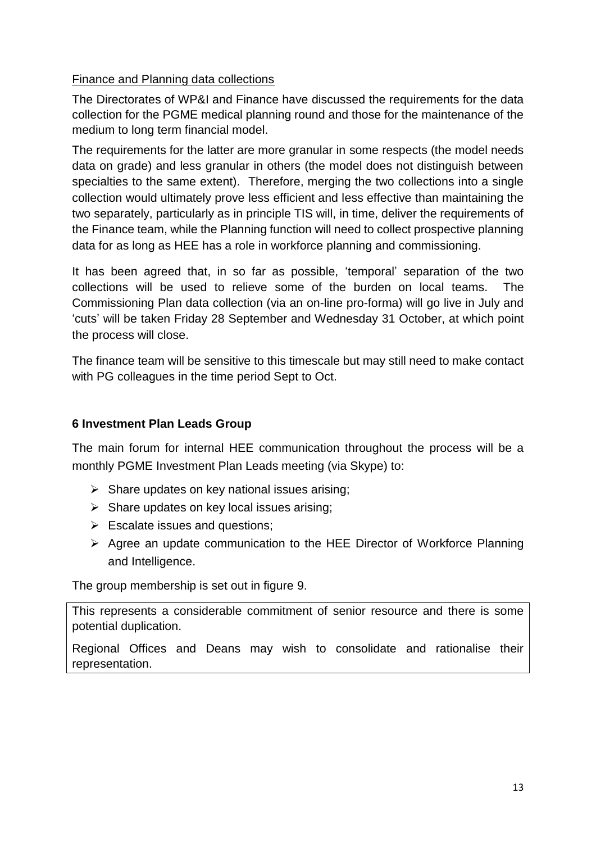#### Finance and Planning data collections

The Directorates of WP&I and Finance have discussed the requirements for the data collection for the PGME medical planning round and those for the maintenance of the medium to long term financial model.

The requirements for the latter are more granular in some respects (the model needs data on grade) and less granular in others (the model does not distinguish between specialties to the same extent). Therefore, merging the two collections into a single collection would ultimately prove less efficient and less effective than maintaining the two separately, particularly as in principle TIS will, in time, deliver the requirements of the Finance team, while the Planning function will need to collect prospective planning data for as long as HEE has a role in workforce planning and commissioning.

It has been agreed that, in so far as possible, 'temporal' separation of the two collections will be used to relieve some of the burden on local teams. The Commissioning Plan data collection (via an on-line pro-forma) will go live in July and 'cuts' will be taken Friday 28 September and Wednesday 31 October, at which point the process will close.

The finance team will be sensitive to this timescale but may still need to make contact with PG colleagues in the time period Sept to Oct.

#### **6 Investment Plan Leads Group**

The main forum for internal HEE communication throughout the process will be a monthly PGME Investment Plan Leads meeting (via Skype) to:

- $\triangleright$  Share updates on key national issues arising:
- $\triangleright$  Share updates on key local issues arising;
- $\triangleright$  Escalate issues and questions;
- ➢ Agree an update communication to the HEE Director of Workforce Planning and Intelligence.

The group membership is set out in figure 9.

This represents a considerable commitment of senior resource and there is some potential duplication.

Regional Offices and Deans may wish to consolidate and rationalise their representation.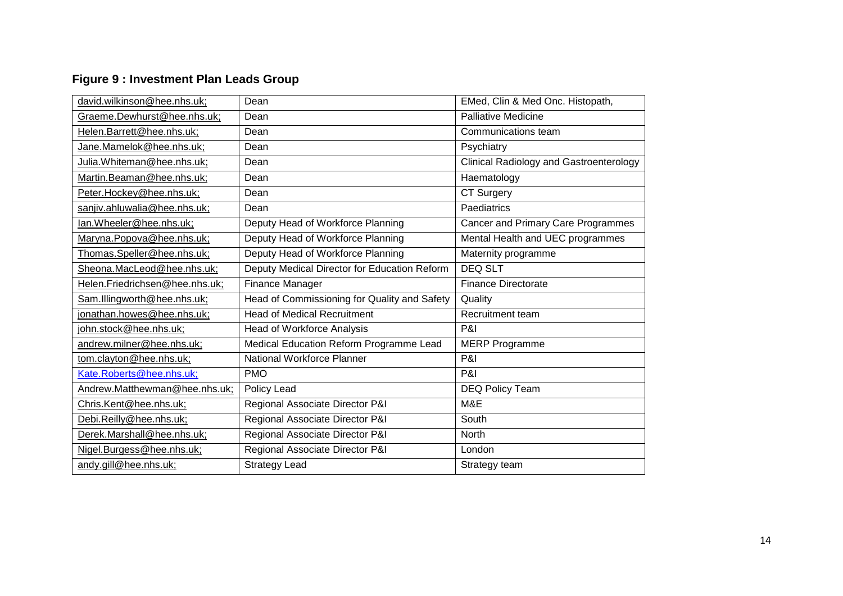## **Figure 9 : Investment Plan Leads Group**

| david.wilkinson@hee.nhs.uk;    | Dean                                         | EMed, Clin & Med Onc. Histopath,               |
|--------------------------------|----------------------------------------------|------------------------------------------------|
| Graeme.Dewhurst@hee.nhs.uk;    | Dean                                         | <b>Palliative Medicine</b>                     |
| Helen.Barrett@hee.nhs.uk;      | Dean                                         | Communications team                            |
| Jane.Mamelok@hee.nhs.uk;       | Dean                                         | Psychiatry                                     |
| Julia.Whiteman@hee.nhs.uk;     | Dean                                         | <b>Clinical Radiology and Gastroenterology</b> |
| Martin.Beaman@hee.nhs.uk;      | Dean                                         | Haematology                                    |
| Peter.Hockey@hee.nhs.uk;       | Dean                                         | <b>CT Surgery</b>                              |
| sanjiv.ahluwalia@hee.nhs.uk;   | Dean                                         | Paediatrics                                    |
| lan.Wheeler@hee.nhs.uk;        | Deputy Head of Workforce Planning            | Cancer and Primary Care Programmes             |
| Maryna.Popova@hee.nhs.uk;      | Deputy Head of Workforce Planning            | Mental Health and UEC programmes               |
| Thomas.Speller@hee.nhs.uk;     | Deputy Head of Workforce Planning            | Maternity programme                            |
| Sheona.MacLeod@hee.nhs.uk;     | Deputy Medical Director for Education Reform | <b>DEQ SLT</b>                                 |
| Helen.Friedrichsen@hee.nhs.uk; | Finance Manager                              | <b>Finance Directorate</b>                     |
| Sam.Illingworth@hee.nhs.uk;    | Head of Commissioning for Quality and Safety | Quality                                        |
| jonathan.howes@hee.nhs.uk;     | <b>Head of Medical Recruitment</b>           | Recruitment team                               |
| john.stock@hee.nhs.uk;         | Head of Workforce Analysis                   | P&I                                            |
| andrew.milner@hee.nhs.uk;      | Medical Education Reform Programme Lead      | <b>MERP Programme</b>                          |
| tom.clayton@hee.nhs.uk;        | National Workforce Planner                   | P&I                                            |
| Kate.Roberts@hee.nhs.uk;       | <b>PMO</b>                                   | P&I                                            |
| Andrew.Matthewman@hee.nhs.uk;  | Policy Lead                                  | DEQ Policy Team                                |
| Chris.Kent@hee.nhs.uk;         | Regional Associate Director P&I              | M&E                                            |
| Debi.Reilly@hee.nhs.uk;        | Regional Associate Director P&I              | South                                          |
| Derek.Marshall@hee.nhs.uk;     | Regional Associate Director P&I              | <b>North</b>                                   |
| Nigel.Burgess@hee.nhs.uk;      | Regional Associate Director P&I              | London                                         |
| andy.gill@hee.nhs.uk;          | <b>Strategy Lead</b>                         | Strategy team                                  |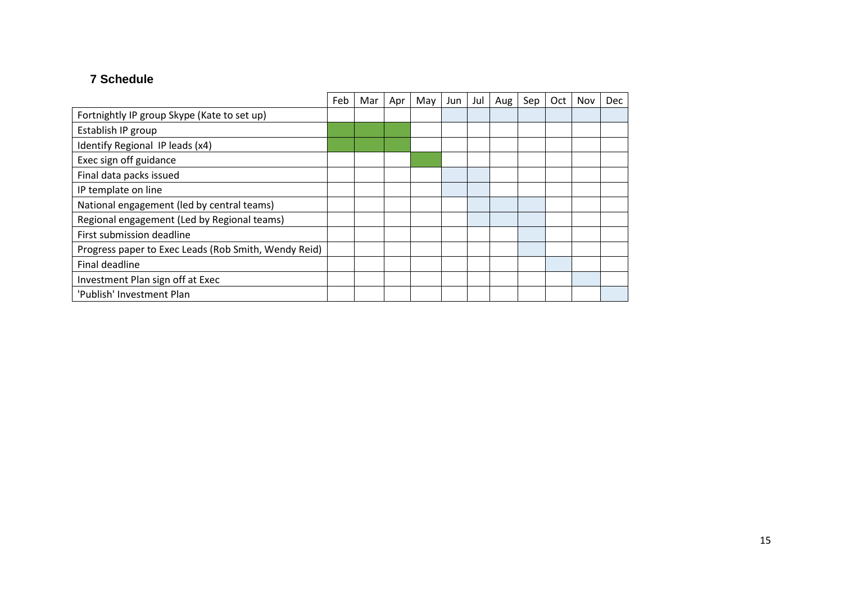#### **7 Schedule**

|                                                      | Feb | Mar | Apr | May | Jun | Jul | Aug | Sep | Oct | Nov | Dec |
|------------------------------------------------------|-----|-----|-----|-----|-----|-----|-----|-----|-----|-----|-----|
| Fortnightly IP group Skype (Kate to set up)          |     |     |     |     |     |     |     |     |     |     |     |
| Establish IP group                                   |     |     |     |     |     |     |     |     |     |     |     |
| Identify Regional IP leads (x4)                      |     |     |     |     |     |     |     |     |     |     |     |
| Exec sign off guidance                               |     |     |     |     |     |     |     |     |     |     |     |
| Final data packs issued                              |     |     |     |     |     |     |     |     |     |     |     |
| IP template on line                                  |     |     |     |     |     |     |     |     |     |     |     |
| National engagement (led by central teams)           |     |     |     |     |     |     |     |     |     |     |     |
| Regional engagement (Led by Regional teams)          |     |     |     |     |     |     |     |     |     |     |     |
| First submission deadline                            |     |     |     |     |     |     |     |     |     |     |     |
| Progress paper to Exec Leads (Rob Smith, Wendy Reid) |     |     |     |     |     |     |     |     |     |     |     |
| Final deadline                                       |     |     |     |     |     |     |     |     |     |     |     |
| Investment Plan sign off at Exec                     |     |     |     |     |     |     |     |     |     |     |     |
| 'Publish' Investment Plan                            |     |     |     |     |     |     |     |     |     |     |     |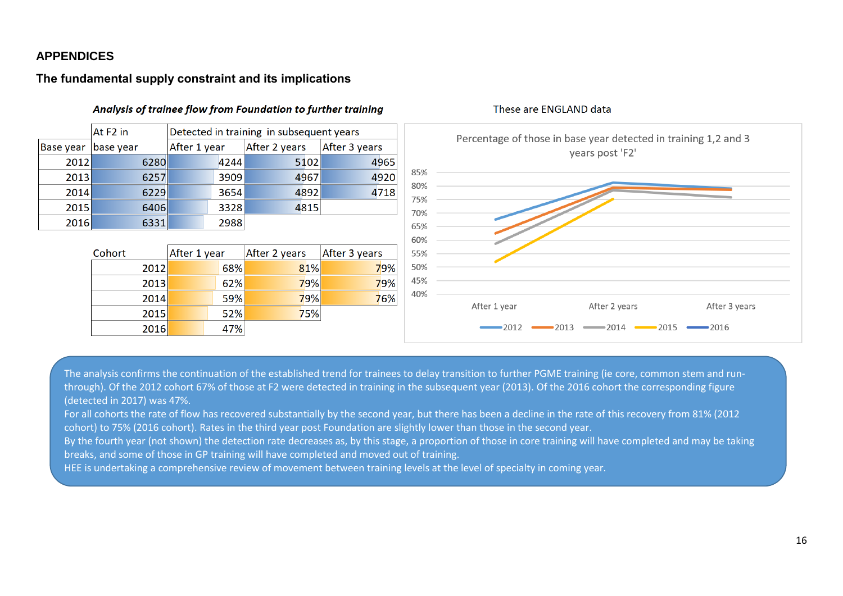#### **APPENDICES**

#### **The fundamental supply constraint and its implications**

![](_page_15_Figure_2.jpeg)

#### Analysis of trainee flow from Foundation to further training

The analysis confirms the continuation of the established trend for trainees to delay transition to further PGME training (ie core, common stem and runthrough). Of the 2012 cohort 67% of those at F2 were detected in training in the subsequent year (2013). Of the 2016 cohort the corresponding figure (detected in 2017) was 47%.

For all cohorts the rate of flow has recovered substantially by the second year, but there has been a decline in the rate of this recovery from 81% (2012 cohort) to 75% (2016 cohort). Rates in the third year post Foundation are slightly lower than those in the second year.

By the fourth year (not shown) the detection rate decreases as, by this stage, a proportion of those in core training will have completed and may be taking breaks, and some of those in GP training will have completed and moved out of training.

HEE is undertaking a comprehensive review of movement between training levels at the level of specialty in coming year.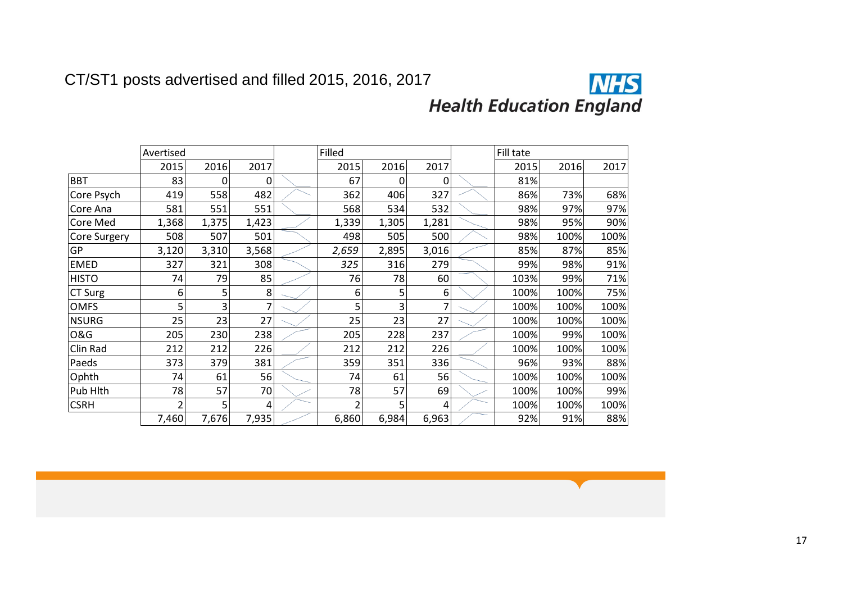![](_page_16_Picture_1.jpeg)

|                | Avertised      |          |                | Filled         |       |       | Fill tate |      |      |      |
|----------------|----------------|----------|----------------|----------------|-------|-------|-----------|------|------|------|
|                | 2015           | 2016     | 2017           | 2015           | 2016  | 2017  |           | 2015 | 2016 | 2017 |
| <b>BBT</b>     | 83             | $\Omega$ | 0              | 67             | 0     | 0     |           | 81%  |      |      |
| Core Psych     | 419            | 558      | 482            | 362            | 406   | 327   |           | 86%  | 73%  | 68%  |
| Core Ana       | 581            | 551      | 551            | 568            | 534   | 532   |           | 98%  | 97%  | 97%  |
| Core Med       | 1,368          | 1,375    | 1,423          | 1,339          | 1,305 | 1,281 |           | 98%  | 95%  | 90%  |
| Core Surgery   | 508            | 507      | 501            | 498            | 505   | 500   |           | 98%  | 100% | 100% |
| GP             | 3,120          | 3,310    | 3,568          | 2,659          | 2,895 | 3,016 |           | 85%  | 87%  | 85%  |
| <b>EMED</b>    | 327            | 321      | 308            | 325            | 316   | 279   |           | 99%  | 98%  | 91%  |
| <b>HISTO</b>   | 74             | 79       | 85             | 76             | 78    | 60    |           | 103% | 99%  | 71%  |
| CT Surg        | 6              | 5        | 8              | 6              | 5     | 6     |           | 100% | 100% | 75%  |
| <b>OMFS</b>    | 5              | 3        | $\overline{7}$ | 5              | 3     | 7     |           | 100% | 100% | 100% |
| <b>NSURG</b>   | 25             | 23       | 27             | 25             | 23    | 27    |           | 100% | 100% | 100% |
| <b>O&amp;G</b> | 205            | 230      | 238            | 205            | 228   | 237   |           | 100% | 99%  | 100% |
| Clin Rad       | 212            | 212      | 226            | 212            | 212   | 226   |           | 100% | 100% | 100% |
| Paeds          | 373            | 379      | 381            | 359            | 351   | 336   |           | 96%  | 93%  | 88%  |
| Ophth          | 74             | 61       | 56             | 74             | 61    | 56    |           | 100% | 100% | 100% |
| Pub Hlth       | 78             | 57       | 70             | 78             | 57    | 69    |           | 100% | 100% | 99%  |
| <b>CSRH</b>    | $\overline{2}$ | 5        | 4              | $\overline{2}$ | 5     | 4     |           | 100% | 100% | 100% |
|                | 7,460          | 7,676    | 7,935          | 6,860          | 6,984 | 6,963 |           | 92%  | 91%  | 88%  |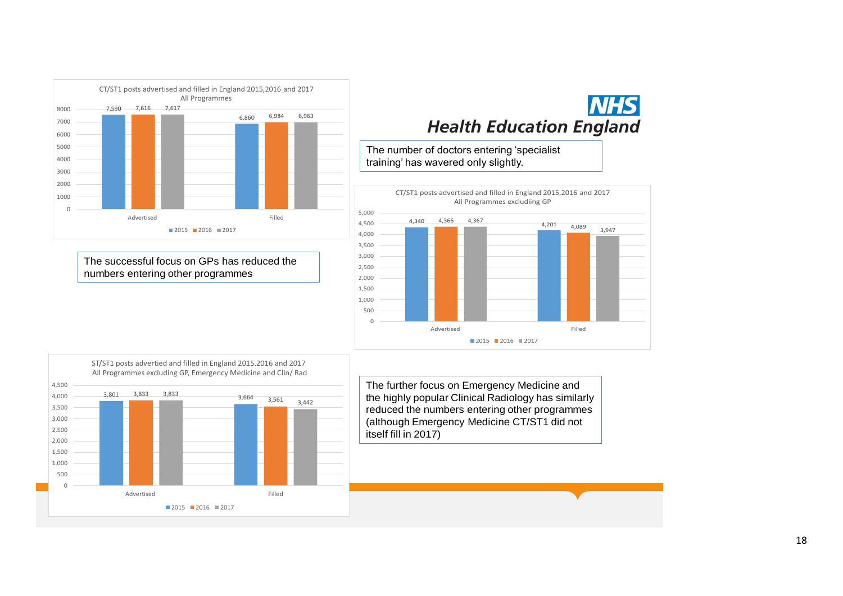![](_page_17_Figure_0.jpeg)

The successful focus on GPs has reduced the numbers entering other programmes

![](_page_17_Figure_2.jpeg)

The number of doctors entering 'specialist training' has wavered only slightly.

![](_page_17_Figure_4.jpeg)

![](_page_17_Figure_5.jpeg)

The further focus on Emergency Medicine and the highly popular Clinical Radiology has similarly reduced the numbers entering other programmes (although Emergency Medicine CT/ST1 did not itself fill in 2017)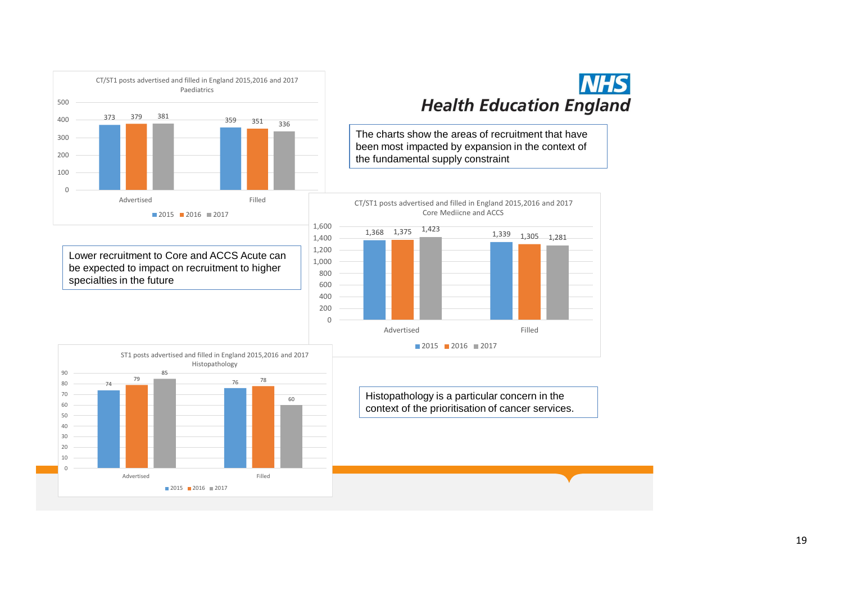![](_page_18_Figure_0.jpeg)

Lower recruitment to Core and ACCS Acute can be expected to impact on recruitment to higher specialties in the future

![](_page_18_Figure_2.jpeg)

The charts show the areas of recruitment that have been most impacted by expansion in the context of the fundamental supply constraint

![](_page_18_Figure_4.jpeg)

![](_page_18_Figure_5.jpeg)

Histopathology is a particular concern in the context of the prioritisation of cancer services.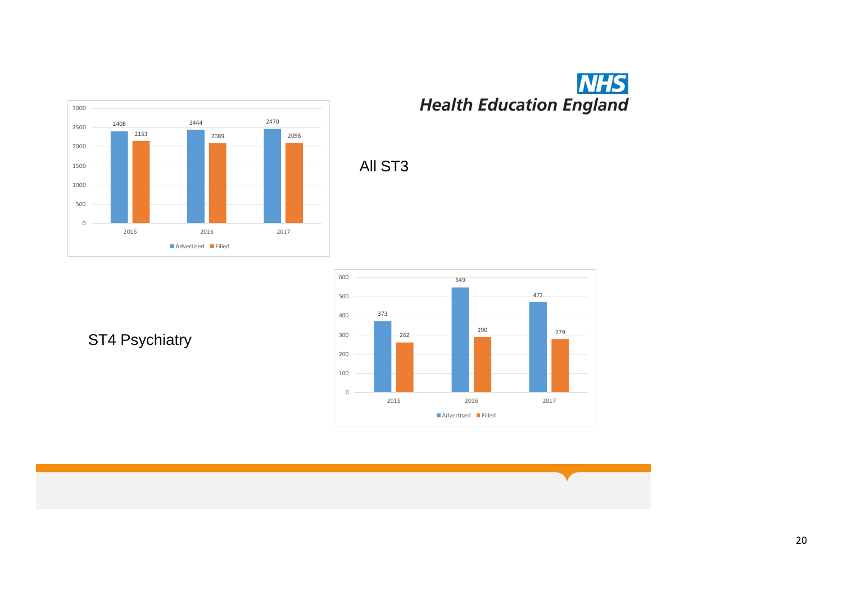![](_page_19_Figure_0.jpeg)

# **NHS**<br>Health Education England

![](_page_19_Figure_2.jpeg)

All ST3

ST4 Psychiatry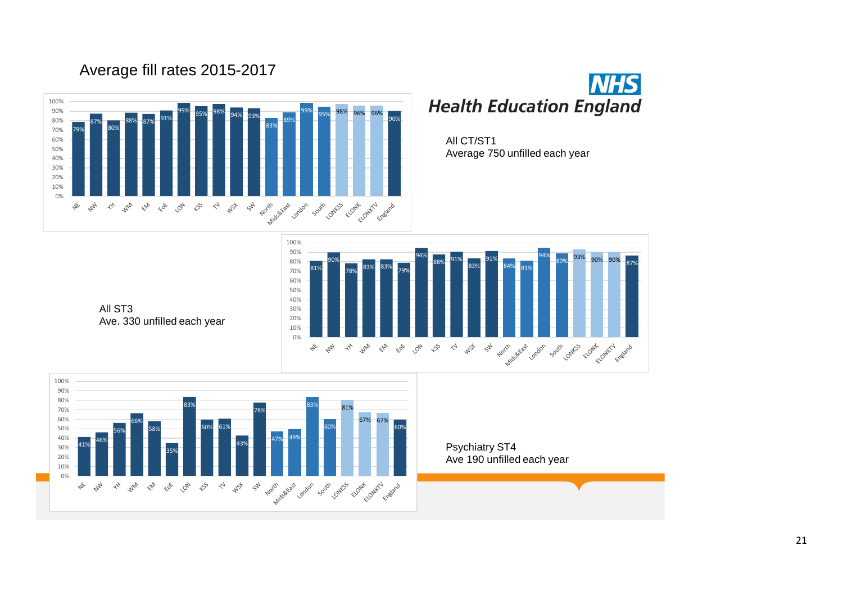![](_page_20_Figure_1.jpeg)

![](_page_20_Picture_2.jpeg)

All CT/ST1 Average 750 unfilled each year

![](_page_20_Figure_4.jpeg)

All ST3 Ave. 330 unfilled each year

![](_page_20_Figure_6.jpeg)

Psychiatry ST4 Ave 190 unfilled each year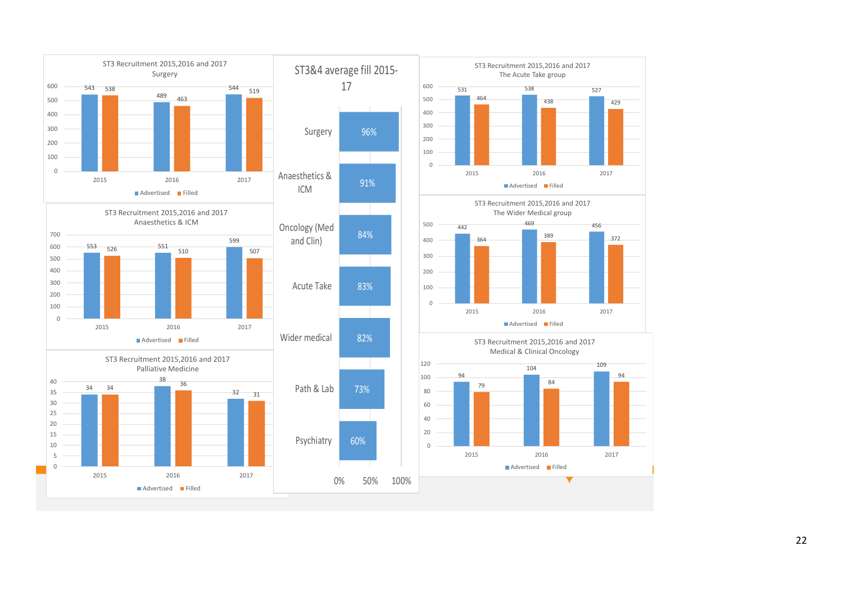![](_page_21_Figure_0.jpeg)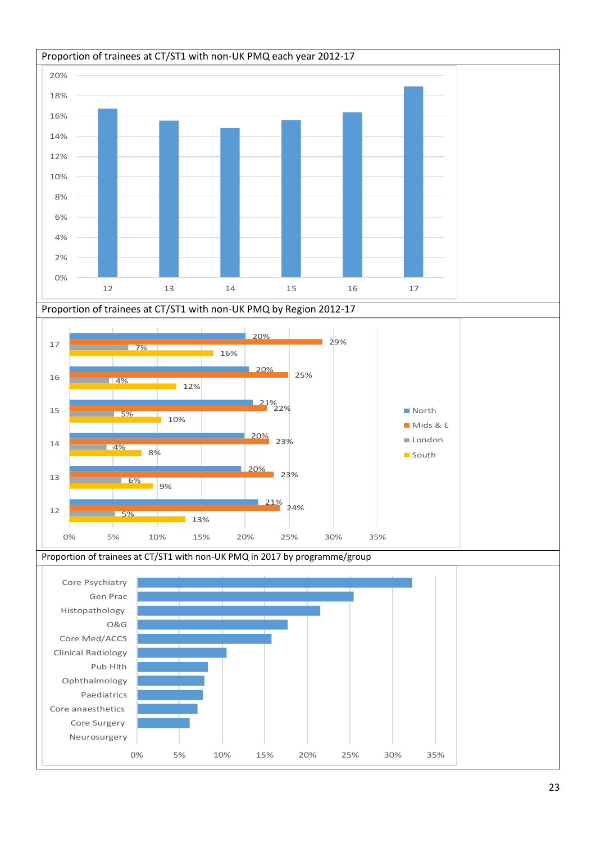![](_page_22_Figure_0.jpeg)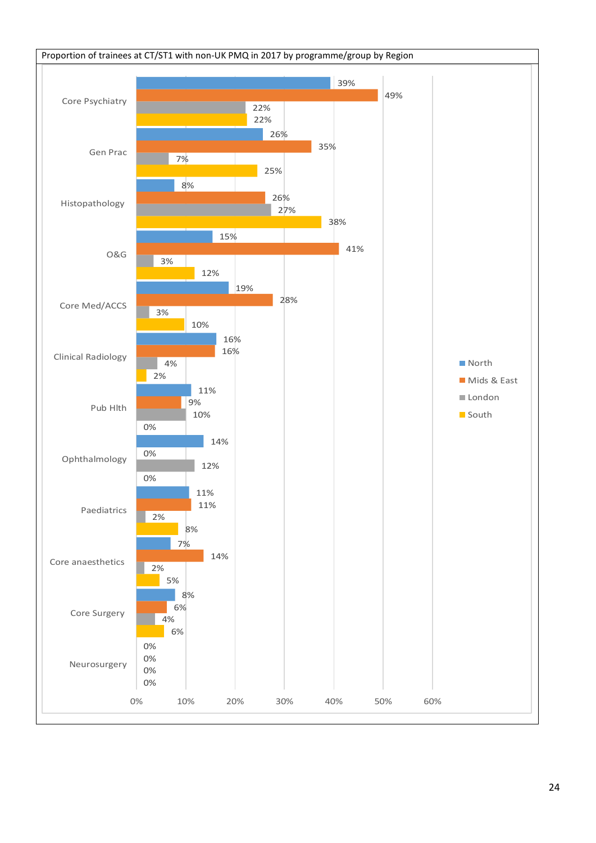![](_page_23_Figure_0.jpeg)